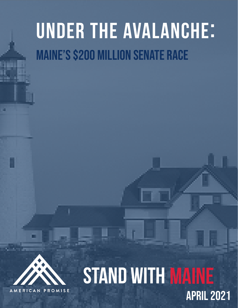# MAINE'S \$200 MILLION SENATE RACE **UNDER THE AVALANCHE:** :



# **Stand With Maine** APRIL 2021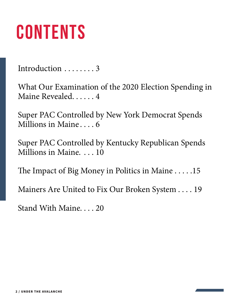# **contents**

[Introduction . . . . . . . .](#page-2-0) 3

[What Our Examination of the 2020](#page-3-0) [Election Spending in](#page-3-0)  Maine Revealed. . . . . . 4

[Super PAC Controlled by New York Democrat Spends](#page-5-0)  [Millions in Maine . . . .](#page-5-0) 6

[Super PAC Controlled by Kentucky Republican Spends](#page-9-0)  [Millions in Maine. . . .](#page-9-0) 10

The Impact of Big Money in Politics in Maine[.....15](#page-14-0)

[Mainers Are United to Fix Our Broken System .... 19](#page-18-0)

[Stand With Maine.... 20](#page-19-0)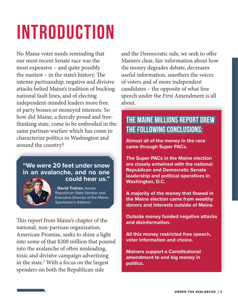# <span id="page-2-0"></span>**Introduction**

No Maine voter needs reminding that our most recent Senate race was the most expensive – and quite possibly the nastiest – in the state's history. The intense partisanship, negative and divisive attacks belied Maine's tradition of bucking national fault lines, and of electing independent-minded leaders more free of party bosses or moneyed interests. So how did Maine, a fiercely proud and freethinking state, come to be embroiled in the same partisan warfare which has come to characterize politics in Washington and around the country?

#### **"We were 20 feet under snow in an avalanche, and no one could hear us."**



- **David Trahan,** former Republican State Senator and Executive Director of the Maine Sportsman's Alliance

This report from Maine's chapter of the national, non-partisan organization, American Promise, seeks to shine a light into some of that \$200 million that poured into the avalanche of often misleading, toxic and divisive campaign advertising in the state. [1](#page-21-0) With a focus on the largest spenders on both the Republican side

and the Democratic side, we seek to offer Mainers clear, fair information about how the money degrades debate, decreases useful information, smothers the voices of voters and of more independent candidates – the opposite of what free speech under the First Amendment is all about.

# **The Maine Millions report drew the following conclusions:**

**Almost all of the money in the race came through Super PACs.**

**The Super PACs in the Maine election are closely entwined with the national Republican and Democratic Senate leadership and political operatives in Washington, D.C.**

**A majority of the money that flowed in the Maine election came from wealthy donors and interests outside of Maine.**

**Outside money funded negative attacks and disinformation.**

**All this money restricted free speech, voter information and choice.**

**Mainers support a Constitutional amendment to end big money in politics.**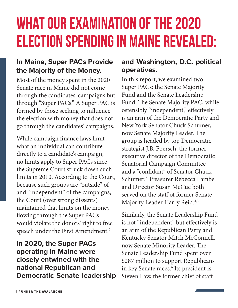# <span id="page-3-0"></span>**What Our examination of the 2020 Election Spending in Maine revealed:**

# **In Maine, Super PACs Provide the Majority of the Money.**

Most of the money spent in the 2020 Senate race in Maine did not come through the candidates' campaigns but through "Super PACs." A Super PAC is formed by those seeking to influence the election with money that does not go through the candidates' campaigns.

While campaign finance laws limit what an individual can contribute directly to a candidate's campaign, no limits apply to Super PACs since the Supreme Court struck down such limits in 2010. According to the Court, because such groups are "outside" of and "independent" of the campaigns, the Court (over strong dissents) maintained that limits on the money flowing through the Super PACs would violate the donors' right to free speech under the First Amendment. [2](#page-21-0)

### **In 2020, the Super PACs operating in Maine were closely entwined with the national Republican and Democratic Senate leadership**

### **and Washington, D.C. political operatives.**

In this report, we examined two Super PACs: the Senate Majority Fund and the Senate Leadership Fund. The Senate Majority PAC, while ostensibly "independent," effectively is an arm of the Democratic Party and New York Senator Chuck Schumer, now Senate Majority Leader. The group is headed by top Democratic strategist J.B. Poersch, the former executive director of the Democratic Senatorial Campaign Committee and a "confidant" of Senator Chuck Schumer. [3](#page-21-0) Treasurer Rebecca Lambe and Director Susan McCue both served on the staff of former Senate Majority Leader Harry Reid.<sup>[4,5](#page-21-0)</sup>

Similarly, the Senate Leadership Fund is not "independent" but effectively is an arm of the Republican Party and Kentucky Senator Mitch McConnell, now Senate Minority Leader. The Senate Leadership Fund spent over \$287 million to support Republicans in key Senate races. [6](#page-21-0) Its president is Steven Law, the former chief of staff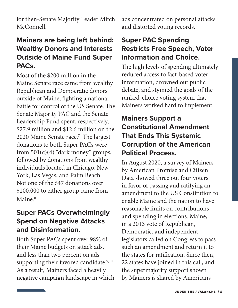<span id="page-4-0"></span>for then-Senate Majority Leader Mitch McConnell.

## **Mainers are being left behind: Wealthy Donors and Interests Outside of Maine Fund Super PACs.**

Most of the \$200 million in the Maine Senate race came from wealthy Republican and Democratic donors outside of Maine, fighting a national battle for control of the US Senate. The Senate Majority PAC and the Senate Leadership Fund spent, respectively, \$27.9 million and \$12.6 million on the 2020 Maine Senate race. [7](#page-21-0) The largest donations to both Super PACs were from  $501(c)(4)$  "dark money" groups, followed by donations from wealthy individuals located in Chicago, New York, Las Vegas, and Palm Beach. Not one of the 647 donations over \$100,000 to either group came from Maine.<sup>[8](#page-21-0)</sup>

### **Super PACs Overwhelmingly Spend on Negative Attacks and Disinformation.**

Both Super PACs spent over 98% of their Maine budgets on attack ads, and less than two percent on ads supporting their favored candidate.<sup>[9,10](#page-21-0)</sup> As a result, Mainers faced a heavily negative campaign landscape in which ads concentrated on personal attacks and distorted voting records.

## **Super PAC Spending Restricts Free Speech, Voter Information and Choice.**

The high levels of spending ultimately reduced access to fact-based voter information, drowned out public debate, and stymied the goals of the ranked-choice voting system that Mainers worked hard to implement.

# **Mainers Support a Constitutional Amendment That Ends This Systemic Corruption of the American Political Process.**

In August 2020, a survey of Mainers by American Promise and Citizen Data showed three out four voters in favor of passing and ratifying an amendment to the US Constitution to enable Maine and the nation to have reasonable limits on contributions and spending in elections. Maine, in a 2013 vote of Republican, Democratic, and independent legislators called on Congress to pass such an amendment and return it to the states for ratification. Since then, 22 states have joined in this call, and the supermajority support shown by Mainers is shared by Americans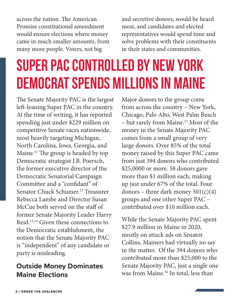<span id="page-5-0"></span>across the nation. The American Promise constitutional amendment would ensure elections where money came in much smaller amounts, from many more people. Voters, not big

and secretive donors, would be heard most, and candidates and elected representatives would spend time and solve problems with their constituents in their states and communities.

# **Super PAC Controlled by New York Democrat Spends Millions in Maine**

The Senate Majority PAC is the largest left-leaning Super PAC in the country. At the time of writing, it has reported spending just under \$229 million on competitive Senate races nationwide, most heavily targeting Michigan, North Carolina, Iowa, Georgia, and Maine. [11](#page-21-0) The group is headed by top Democratic strategist J.B. Poersch, the former executive director of the Democratic Senatorial Campaign Committee and a "confidant" of Senator Chuck Schumer. [12](#page-21-0) Treasurer Rebecca Lambe and Director Susan McCue both served on the staff of former Senate Majority Leader Harry Reid. [13,14](#page-21-0) Given these connections to the Democratic establishment, the notion that the Senate Majority PAC is "independent" of any candidate or party is misleading.

### **Outside Money Dominates Maine Elections**

Major donors to the group come from across the country – New York, Chicago, Palo Alto, West Palm Beach – but rarely from Maine. [15](#page-21-0) Most of the money in the Senate Majority PAC comes from a small group of very large donors. Over 85% of the total money raised by this Super PAC came from just 394 donors who contributed \$25,0000 or more. 58 donors gave more than \$1 million each, making up just under 67% of the total. Four donors – three dark money  $501(c)(4)$ groups and one other Super PAC – contributed over \$10 million each.

While the Senate Majority PAC spent \$27.9 million in Maine in 2020, mostly on attack ads on Senator Collins, Mainers had virtually no say in the matter. Of the 394 donors who contributed more than \$25,000 to the Senate Majority PAC, just a single one was from Maine. [16](#page-21-0) In total, less than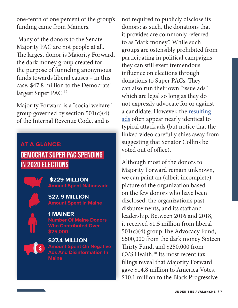<span id="page-6-0"></span>one-tenth of one percent of the group's funding came from Mainers.

 Many of the donors to the Senate Majority PAC are not people at all. The largest donor is Majority Forward, the dark money group created for the purpose of funneling anonymous funds towards liberal causes – in this case, \$47.8 million to the Democrats' largest Super PAC. [17](#page-21-0)

Majority Forward is a "social welfare" group governed by section  $501(c)(4)$ of the Internal Revenue Code, and is

# **DEMOCRAT SUPER PAC SPENDING IN 2020 ELECTIONS AT A GLANCE:**

 **\$229 MILLION Amount Spent Nationwide**

**\$27. 9 MILLION Amount Spent In Maine**

#### **1 MAINER**

**Number Of Maine Donors Who Contributed Over \$25,000**



**\$27.4 MILLION Amount Spent On Negative Ads And Disinformation In Maine**

not required to publicly disclose its donors; as such, the donations that it provides are commonly referred to as "dark money". While such groups are ostensibly prohibited from participating in political campaigns, they can still exert tremendous influence on elections through donations to Super PACs. They can also run their own "issue ads" which are legal so long as they do not expressly advocate for or against a candidate. However, the resulting [ads](https://www.facebook.com/ads/library/?id=2408158369514362) often appear nearly identical to typical attack ads (but notice that the linked video carefully shies away from suggesting that Senator Collins be voted out of office).

Although most of the donors to Majority Forward remain unknown, we can paint an (albeit incomplete) picture of the organization based on the few donors who have been disclosed, the organization's past disbursements, and its staff and leadership. Between 2016 and 2018, it received \$1.5 million from liberal 501(c)(4) group The Advocacy Fund, \$500,000 from the dark money Sixteen Thirty Fund, and \$250,000 from CVS Health. [18](#page-21-0) Its most recent tax filings reveal that Majority Forward gave \$14.8 million to America Votes, \$10.1 million to the Black Progressive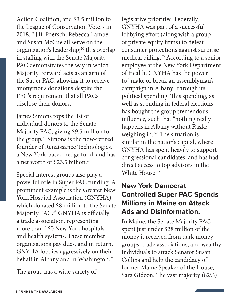<span id="page-7-0"></span>Action Coalition, and \$3.5 million to the League of Conservation Voters in 2018. [19](#page-21-0) J.B. Poersch, Rebecca Lambe, and Susan McCue all serve on the organization's leadership;<sup>20</sup> this overlap in staffing with the Senate Majority PAC demonstrates the way in which Majority Forward acts as an arm of the Super PAC, allowing it to receive anonymous donations despite the FEC's requirement that all PACs disclose their donors.

James Simons tops the list of individual donors to the Senate Majority PAC, giving \$9.5 million to the group. [21](#page-21-0) Simons is the now-retired founder of Renaissance Technologies, a New York-based hedge fund, and has a net worth of \$23.5 billion. [22](#page-21-0)

Special interest groups also play a powerful role in Super PAC funding. A prominent example is the Greater New York Hospital Association (GNYHA), which donated \$8 million to the Senate Majority PAC.<sup>23</sup> GNYHA is officially a trade association, representing more than 160 New York hospitals and health systems. These member organizations pay dues, and in return, GNYHA lobbies aggressively on their behalf in Albany and in Washington. [24](#page-21-0)

The group has a wide variety of

legislative priorities. Federally, GNYHA was part of a successful lobbying effort (along with a group of private equity firms) to defeat consumer protections against surprise medical billing. [25](#page-21-0) According to a senior employee at the New York Department of Health, GNYHA has the power to "make or break an assemblyman's campaign in Albany" through its political spending. This spending, as well as spending in federal elections, has bought the group tremendous influence, such that "nothing really happens in Albany without Raske weighing in.["26](#page-21-0) The situation is similar in the nation's capital, where GNYHA has spent heavily to support congressional candidates, and has had direct access to top advisors in the White House. [27](#page-21-0)

# **New York Democrat Controlled Super PAC Spends Millions in Maine on Attack Ads and Disinformation.**

In Maine, the Senate Majority PAC spent just under \$28 million of the money it received from dark money groups, trade associations, and wealthy individuals to attack Senator Susan Collins and help the candidacy of former Maine Speaker of the House, Sara Gideon. The vast majority (82%)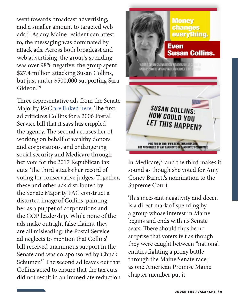<span id="page-8-0"></span>went towards broadcast advertising, and a smaller amount to targeted web ads. [28](#page-21-0) As any Maine resident can attest to, the messaging was dominated by attack ads. Across both broadcast and web advertising, the group's spending was over 98% negative: the group spent \$27.4 million attacking Susan Collins, but just under \$500,000 supporting Sara Gideon. [29](#page-21-0)

Three representative ads from the Senate Majority PAC [are](https://www.facebook.com/ads/library/?id=2725662904369198) [linked](https://www.youtube.com/watch?v=qn4b9cxQQDM&feature=youtu.be) [here.](https://www.youtube.com/watch?v=oxNZ1Cirk_M&feature=youtu.be) The first ad criticizes Collins for a 2006 Postal Service bill that it says has crippled the agency. The second accuses her of working on behalf of wealthy donors and corporations, and endangering social security and Medicare through her vote for the 2017 Republican tax cuts. The third attacks her record of voting for conservative judges. Together, these and other ads distributed by the Senate Majority PAC construct a distorted image of Collins, painting her as a puppet of corporations and the GOP leadership. While none of the ads make outright false claims, they are all misleading: the Postal Service ad neglects to mention that Collins' bill received unanimous support in the Senate and was co-sponsored by Chuck Schumer. [30](#page-21-0) The second ad leaves out that Collins acted to ensure that the tax cuts did not result in an immediate reduction



in Medicare,<sup>31</sup> and the third makes it sound as though she voted for Amy Coney Barrett's nomination to the Supreme Court.

This incessant negativity and deceit is a direct mark of spending by a group whose interest in Maine begins and ends with its Senate seats. There should thus be no surprise that voters felt as though they were caught between "national entities fighting a proxy battle through the Maine Senate race," as one American Promise Maine chapter member put it.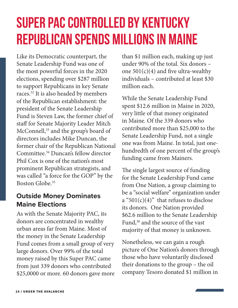# <span id="page-9-0"></span>**Super PAC Controlled by Kentucky Republican Spends Millions in Maine**

Like its Democratic counterpart, the Senate Leadership Fund was one of the most powerful forces in the 2020 elections, spending over \$287 million to support Republicans in key Senate races. [32](#page-22-0) It is also headed by members of the Republican establishment: the president of the Senate Leadership Fund is Steven Law, the former chief of staff for Senate Majority Leader Mitch McConnell,<sup>33</sup> and the group's board of directors includes Mike Duncan, the former chair of the Republican National Committee. [34](#page-22-0) Duncan's fellow director Phil Cox is one of the nation's most prominent Republican strategists, and was called "a force for the GOP" by the Boston Globe. [35](#page-22-0)

### **Outside Money Dominates Maine Elections**

As with the Senate Majority PAC, its donors are concentrated in wealthy urban areas far from Maine. Most of the money in the Senate Leadership Fund comes from a small group of very large donors. Over 99% of the total money raised by this Super PAC came from just 339 donors who contributed \$25,0000 or more. 60 donors gave more

than \$1 million each, making up just under 90% of the total. Six donors – one  $501(c)(4)$  and five ultra-wealthy individuals – contributed at least \$30 million each.

While the Senate Leadership Fund spent \$12.6 million in Maine in 2020, very little of that money originated in Maine. Of the 339 donors who contributed more than \$25,000 to the Senate Leadership Fund, not a single one was from Maine. In total, just onehundredth of one percent of the group's funding came from Mainers.

The single largest source of funding for the Senate Leadership Fund came from One Nation, a group claiming to be a "social welfare" organization under a "501(c)(4)" that refuses to disclose its donors. One Nation provided \$62.6 million to the Senate Leadership Fund,<sup>36</sup> and the source of the vast majority of that money is unknown.

Nonetheless, we can gain a rough picture of One Nation's donors through those who have voluntarily disclosed their donations to the group – the oil company Tesoro donated \$1 million in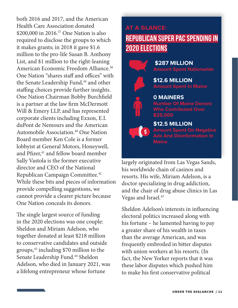<span id="page-10-0"></span>both 2016 and 2017, and the American Health Care Association donated \$200,000 in 2016. [37](#page-22-0) One Nation is also required to disclose the groups to which it makes grants; in 2018 it gave \$1.6 million to the pro-life Susan B. Anthony List, and \$1 million to the right-leaning American Economic Freedom Alliance. [38](#page-22-0) One Nation "shares staff and offices" with the Senate Leadership Fund,<sup>[39](#page-22-0)</sup> and other staffing choices provide further insights. One Nation Chairman Bobby Burchfield is a partner at the law firm McDermott Will & Emery LLP, and has represented corporate clients including Exxon, E.I. duPont de Nemours and the American Automobile Association. [40](#page-22-0) One Nation Board member Ken Cole is a former lobbyist at General Motors, Honeywell, and Pfizer,<sup>41</sup> and fellow board member Sally Vastola is the former executive director and CEO of the National Republican Campaign Committee. [42](#page-22-0) While these bits and pieces of information provide compelling suggestions, we cannot provide a clearer picture because One Nation conceals its donors.

The single largest source of funding in the 2020 elections was one couple: Sheldon and Miriam Adelson, who together donated at least \$218 million to conservative candidates and outside groups, $43$  including \$70 million to the Senate Leadership Fund. [44](#page-22-0) Sheldon Adelson, who died in January 2021, was a lifelong entrepreneur whose fortune

# **REPUBLICAN SUPER PAC SPENDING IN 2020 ELECTIONS AT A GLANCE:**





 $\mathsf{S}$ 

 **\$287 MILLION Amount Spent Nationwide**

**\$12.6 MILLION Amount Spent In Maine**

**0 MAINERS Number Of Maine Donors Who Contributed Over \$25,000**

**\$12.5 MILLION Amount Spent On Negative Ads And Disinformation In Maine**

largely originated from Las Vegas Sands, his worldwide chain of casinos and resorts. His wife, Miriam Adelson, is a doctor specializing in drug addiction, and the chair of drug abuse clinics in Las Vegas and Israel. [45](#page-22-0)

Sheldon Adelson's interests in influencing electoral politics increased along with his fortune – he lamented having to pay a greater share of his wealth in taxes than the average American, and was frequently embroiled in bitter disputes with union workers at his resorts. (In fact, the New Yorker reports that it was these labor disputes which pushed him to make his first conservative political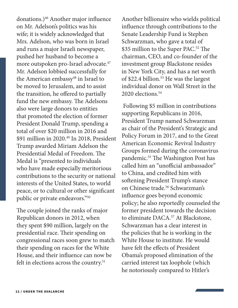<span id="page-11-0"></span>donations.[\)46](#page-22-0) Another major influence on Mr. Adelson's politics was his wife; it is widely acknowledged that Mrs. Adelson, who was born in Israel and runs a major Israeli newspaper, pushed her husband to become a more outspoken pro-Israel advocate. [47](#page-22-0) Mr. Adelson lobbied successfully for the American embassy<sup>48</sup> in Israel to be moved to Jerusalem, and to assist the transition, he offered to partially fund the new embassy. The Adelsons also were large donors to entities that promoted the election of former President Donald Trump, spending a total of over \$20 million in 2016 and \$91 million in 2020. [49](#page-22-0) In 2018, President Trump awarded Miriam Adelson the Presidential Medal of Freedom. The Medal is "presented to individuals who have made especially meritorious contributions to the security or national interests of the United States, to world peace, or to cultural or other significant public or private endeavors."[50](#page-22-0) 

The couple joined the ranks of major Republican donors in 2012, when they spent \$90 million, largely on the presidential race. Their spending on congressional races soon grew to match their spending on races for the White House, and their influence can now be felt in elections across the country. [51](#page-22-0)

Another billionaire who wields political influence through contributions to the Senate Leadership Fund is Stephen Schwarzman, who gave a total of \$35 million to the Super PAC. [52](#page-22-0) The chairman, CEO, and co-founder of the investment group Blackstone resides in New York City, and has a net worth of \$22.4 billion. [53](#page-22-0) He was the largest individual donor on Wall Street in the 2020 elections. [54](#page-22-0)

 Following \$5 million in contributions supporting Republicans in 2016, President Trump named Schwarzman as chair of the President's Strategic and Policy Forum in 2017, and to the Great American Economic Revival Industry Groups formed during the coronavirus pandemic. [55](#page-22-0) The Washington Post has called him an "unofficial ambassador" to China, and credited him with softening President Trump's stance on Chinese trade. [56](#page-22-0) Schwarzman's influence goes beyond economic policy; he also reportedly counseled the former president towards the decision to eliminate DACA. [57](#page-22-0) At Blackstone, Schwarzman has a clear interest in the policies that he is working in the White House to institute. He would have felt the effects of President Obama's proposed elimination of the carried interest tax loophole (which he notoriously compared to Hitler's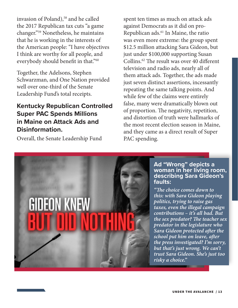<span id="page-12-0"></span>invasion of Poland),<sup>[58](#page-22-0)</sup> and he called the 2017 Republican tax cuts "a game changer."[59](#page-22-0) Nonetheless, he maintains that he is working in the interests of the American people: "I have objectives I think are worthy for all people, and everybody should benefit in that.["60](#page-22-0)

Together, the Adelsons, Stephen Schwarzman, and One Nation provided well over one-third of the Senate Leadership Fund's total receipts.

#### **Kentucky Republican Controlled Super PAC Spends Millions in Maine on Attack Ads and Disinformation.**

Overall, the Senate Leadership Fund

spent ten times as much on attack ads against Democrats as it did on pro-Republican ads. [61](#page-22-0) In Maine, the ratio was even more extreme: the group spent \$12.5 million attacking Sara Gideon, but just under \$100,000 supporting Susan Collins. [62](#page-22-0) The result was over 40 different television and radio ads, nearly all of them attack ads. Together, the ads made just seven distinct assertions, incessantly repeating the same talking points. And while few of the claims were entirely false, many were dramatically blown out of proportion. The negativity, repetition, and distortion of truth were hallmarks of the most recent election season in Maine, and they came as a direct result of Super PAC spending.



#### **Ad "Wrong" depicts a woman in her living room, describing Sara Gideon's faults:**

*"The choice comes down to this: with Sara Gideon playing politics, trying to raise gas taxes, even the illegal campaign contributions – it's all bad. But the sex predator? The teacher sex predator in the legislature who Sara Gideon protected after the school put him on leave, after the press investigated? I'm sorry, but that's just wrong. We can't trust Sara Gideon. She's just too risky a choice."*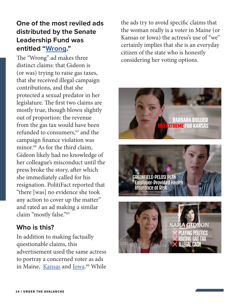### <span id="page-13-0"></span>**One of the most reviled ads distributed by the Senate Leadership Fund was entitled "[Wrong](https://www.youtube.com/watch?v=3YyAjbCnfqA)."**

The "Wrong" ad makes three distinct claims: that Gideon is (or was) trying to raise gas taxes, that she received illegal campaign contributions, and that she protected a sexual predator in her legislature. The first two claims are mostly true, though blown slightly out of proportion: the revenue from the gas tax would have been refunded to consumers,<sup>63</sup> and the campaign finance violation was minor. [64](#page-23-0) As for the third claim, Gideon likely had no knowledge of her colleague's misconduct until the press broke the story, after which she immediately called for his resignation. PolitiFact reported that "there [was] no evidence she took any action to cover up the matter" and rated an ad making a similar claim "mostly false.["65](#page-23-0)

#### **Who is this?**

In addition to making factually questionable claims, this advertisement used the same actress to portray a concerned voter as ads in Maine, [Kansas](https://youtu.be/7M2wxqK5ZR0) and Lowa.<sup>[66](#page-23-0)</sup> While the ads try to avoid specific claims that the woman really is a voter in Maine (or Kansas or Iowa) the actress's use of "we" certainly implies that she is an everyday citizen of the state who is honestly considering her voting options.



EENFIELD-PELOSI PLAN **Employer-Provided Health** Insurance at Risk

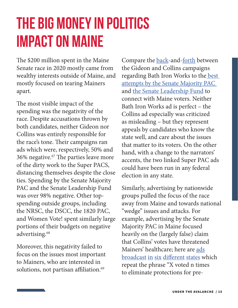# <span id="page-14-0"></span>**The Big Money in Politics Impact on Maine**

The \$200 million spent in the Maine Senate race in 2020 mostly came from wealthy interests outside of Maine, and mostly focused on tearing Mainers apart.

The most visible impact of the spending was the negativity of the race. Despite accusations thrown by both candidates, neither Gideon nor Collins was entirely responsible for the race's tone. Their campaigns ran ads which were, respectively, 50% and 36% negative. [67](#page-23-0) The parties leave more of the dirty work to the Super PACS, distancing themselves despite the close ties. Spending by the Senate Majority PAC and the Senate Leadership Fund was over 98% negative. Other topspending outside groups, including the NRSC, the DSCC, the 1820 PAC, and Women Vote! spent similarly large portions of their budgets on negative advertising. [68](#page-23-0)

Moreover, this negativity failed to focus on the issues most important to Mainers, who are interested in solutions, not partisan affiliation. [69](#page-23-0)

Compare the [back](https://www.youtube.com/watch?v=PDYXpeEJn24&feature=youtu.be)-and-[forth](https://www.youtube.com/watch?v=wbjDbvODjZM&feature=youtu.be) between the Gideon and Collins campaigns regarding Bath Iron Works to the best [attempts by the Senate Majority PAC](https://www.youtube.com/watch?v=qn4b9cxQQDM&feature=youtu.be)  and [the Senate Leadership Fund](https://www.youtube.com/watch?v=LNopHtmHfOs) to connect with Maine voters. Neither Bath Iron Works ad is perfect – the Collins ad especially was criticized as misleading – but they represent appeals by candidates who know the state well, and care about the issues that matter to its voters. On the other hand, with a change to the narrators' accents, the two linked Super PAC ads could have been run in any federal election in any state.

Similarly, advertising by nationwide groups pulled the focus of the race away from Maine and towards national "wedge" issues and attacks. For example, advertising by the Senate Majority PAC in Maine focused heavily on the (largely false) claim that Collins' votes have threatened Mainers' healthcare; here are [ads](https://youtu.be/MqMQypIN6FI) [broadcast](https://youtu.be/6IlxArqDnE8) [in](https://www.facebook.com/ads/library/?id=3460456177372210) [six](https://www.facebook.com/ads/library/?id=1754786624683930) [different](https://youtu.be/Q4KDcxDG5Ls) [states](https://youtu.be/K2d2525gptw) which repeat the phrase "X voted n times to eliminate protections for pre-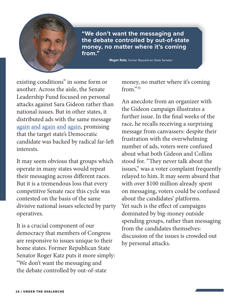<span id="page-15-0"></span>

**"We don't want the messaging and the debate controlled by out-of-state money, no matter where it's coming from."**

- **Roger Katz**, former Republican State Senator

existing conditions" in some form or another. Across the aisle, the Senate Leadership Fund focused on personal attacks against Sara Gideon rather than national issues. But in other states, it distributed ads with the same message [again](https://www.youtube.com/watch?v=1Z2jvTaxBFc) [and](https://www.youtube.com/watch?v=xKldN8S0Or0) again and again, promising that the target state's Democratic candidate was backed by radical far-left interests.

It may seem obvious that groups which operate in many states would repeat their messaging across different races. But it is a tremendous loss that every competitive Senate race this cycle was contested on the basis of the same divisive national issues selected by party operatives.

It is a crucial component of our democracy that members of Congress are responsive to issues unique to their home states. Former Republican State Senator Roger Katz puts it more simply: "We don't want the messaging and the debate controlled by out-of-state

money, no matter where it's coming from."70

An anecdote from an organizer with the Gideon campaign illustrates a further issue. In the final weeks of the race, he recalls receiving a surprising message from canvassers: despite their frustration with the overwhelming number of ads, voters were confused about what both Gideon and Collins stood for. "They never talk about the issues," was a voter complaint frequently relayed to him. It may seem absurd that with over \$100 million already spent on messaging, voters could be confused about the candidates' platforms. Yet such is the effect of campaigns dominated by big-money outside spending groups, rather than messaging from the candidates themselves: discussion of the issues is crowded out by personal attacks.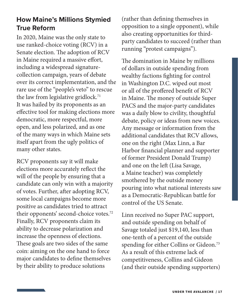## <span id="page-16-0"></span>**How Maine's Millions Stymied True Reform**

In 2020, Maine was the only state to use ranked-choice voting (RCV) in a Senate election. The adoption of RCV in Maine required a massive effort, including a widespread signaturecollection campaign, years of debate over its correct implementation, and the rare use of the "people's veto" to rescue the law from legislative gridlock.<sup>[71](#page-23-0)</sup> It was hailed by its proponents as an effective tool for making elections more democratic, more respectful, more open, and less polarized, and as one of the many ways in which Maine sets itself apart from the ugly politics of many other states.

RCV proponents say it will make elections more accurately reflect the will of the people by ensuring that a candidate can only win with a majority of votes. Further, after adopting RCV, some local campaigns become more positive as candidates tried to attract their opponents' second-choice votes. [72](#page-23-0) Finally, RCV proponents claim its ability to decrease polarization and increase the openness of elections. These goals are two sides of the same coin: aiming on the one hand to force major candidates to define themselves by their ability to produce solutions

(rather than defining themselves in opposition to a single opponent), while also creating opportunities for thirdparty candidates to succeed (rather than running "protest campaigns").

The domination in Maine by millions of dollars in outside spending from wealthy factions fighting for control in Washington D.C. wiped out most or all of the proffered benefit of RCV in Maine. The money of outside Super PACS and the major-party candidates was a daily blow to civility, thoughtful debate, policy or ideas from new voices. Any message or information from the additional candidates that RCV allows, one on the right (Max Linn, a Bar Harbor financial planner and supporter of former President Donald Trump) and one on the left (Lisa Savage, a Maine teacher) was completely smothered by the outside money pouring into what national interests saw as a Democratic-Republican battle for control of the US Senate.

Linn received no Super PAC support, and outside spending on behalf of Savage totaled just \$19,140, less than one-tenth of a percent of the outside spending for either Collins or Gideon. [73](#page-23-0) As a result of this extreme lack of competitiveness, Collins and Gideon (and their outside spending supporters)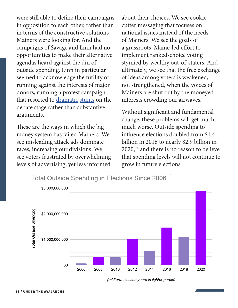<span id="page-17-0"></span>were still able to define their campaigns in opposition to each other, rather than in terms of the constructive solutions Mainers were looking for. And the campaigns of Savage and Linn had no opportunities to make their alternative agendas heard against the din of outside spending. Linn in particular seemed to acknowledge the futility of running against the interests of major donors, running a protest campaign that resorted to [dramatic](https://www.youtube.com/watch?v=fXy4NX20b5c) [stunts](https://www.youtube.com/watch?v=TFkzj8GBGiQ) on the debate stage rather than substantive arguments.

These are the ways in which the big money system has failed Mainers. We see misleading attack ads dominate races, increasing our divisions. We see voters frustrated by overwhelming levels of advertising, yet less informed

about their choices. We see cookiecutter messaging that focuses on national issues instead of the needs of Mainers. We see the goals of a grassroots, Maine-led effort to implement ranked-choice voting stymied by wealthy out-of-staters. And ultimately, we see that the free exchange of ideas among voters is weakened, not strengthened, when the voices of Mainers are shut out by the moneyed interests crowding our airwaves.

Without significant and fundamental change, these problems will get much, much worse. Outside spending to influence elections doubled from \$1.4 billion in 2016 to nearly \$2.9 billion in 2020[,74](#page-23-0) and there is no reason to believe that spending levels will not continue to grow in future elections.

Total Outside Spending in Elections Since 2006<sup>[79](#page-23-0)</sup>



<sup>(</sup>midterm election years in lighter purple)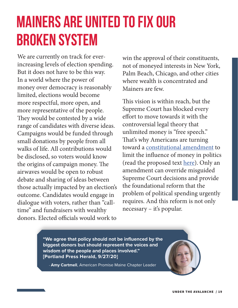# <span id="page-18-0"></span>**Mainers Are United to Fix Our Broken System**

We are currently on track for everincreasing levels of election spending. But it does not have to be this way. In a world where the power of money over democracy is reasonably limited, elections would become more respectful, more open, and more representative of the people. They would be contested by a wide range of candidates with diverse ideas. Campaigns would be funded through small donations by people from all walks of life. All contributions would be disclosed, so voters would know the origins of campaign money. The airwaves would be open to robust debate and sharing of ideas between those actually impacted by an election's outcome. Candidates would engage in dialogue with voters, rather than "calltime" and fundraisers with wealthy donors. Elected officials would work to

win the approval of their constituents, not of moneyed interests in New York, Palm Beach, Chicago, and other cities where wealth is concentrated and Mainers are few.

This vision is within reach, but the Supreme Court has blocked every effort to move towards it with the controversial legal theory that unlimited money is "free speech." That's why Americans are turning toward a [constitutional amendment](https://americanpromise.net/who-we-are/the-28th-amendment/) to limit the influence of money in politics (read the proposed text [here](https://americanpromise.net/wp-content/uploads/2020/09/Keep-the-Promise-America250.pdf#page=13)). Only an amendment can override misguided Supreme Court decisions and provide the foundational reform that the problem of political spending urgently requires. And this reform is not only necessary – it's popular.

**"We agree that policy should not be influenced by the biggest donors but should represent the voices and wisdom of the people and places involved." [Portland Press Herald, 9/27/20]**

- **Amy Cartmell**, American Promise Maine Chapter Leader

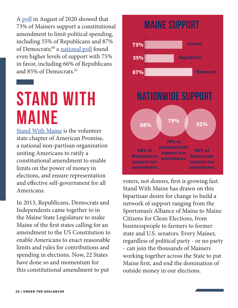<span id="page-19-0"></span>A [poll](https://americanpromise.net/blog/2020/09/10/new-poll-shows-strong-cross-partisan-support-for-amendment-in-maine/) in August of 2020 showed that 73% of Mainers support a constitutional amendment to limit political spending, including 55% of Republicans and 87% of Democrats;<sup>80</sup> a [national poll](https://www.documentcloud.org/documents/4455238-campaignfinancereport.html) found even higher levels of support with 75% in favor, including 66% of Republicans and 85% of Democrats. [81](#page-23-0)

# **Stand With MAine**

[Stand With Maine](https://americanpromise.net/stand-with-maine/) is the volunteer state chapter of American Promise, a national non-partisan organization uniting Americans to ratify a constitutional amendment to enable limits on the power of money in elections, and ensure representation and effective self-government for all Americans.

In 2013, Republicans, Democrats and Independents came together to in the Maine State Legislature to make Maine of the first states calling for an amendment to the US Constitution to enable Americans to enact reasonable limits and rules for contributions and spending in elections. Now, 22 States have done so and momentum for this constitutional amendment to put

# **Maine Support**



voters, not donors, first is growing fast. Stand With Maine has drawn on this bipartisan desire for change to build a network of support ranging from the Sportsman's Alliance of Maine to Maine Citizens for Clean Elections, from businesspeople to farmers to former state and U.S. senators. Every Mainer, regardless of political party - or no party - can join the thousands of Mainers working together across the State to put Maine first, and end the domination of outside money in our elections.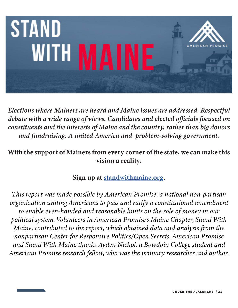

*Elections where Mainers are heard and Maine issues are addressed. Respectful debate with a wide range of views. Candidates and elected officials focused on constituents and the interests of Maine and the country, rather than big donors and fundraising. A united America and problem-solving government.*

### With the support of Mainers from every corner of the state, we can make this vision a reality.

Sign up at [standwithmaine.org](http://standwithmaine.org).

*This report was made possible by American Promise, a national non-partisan organization uniting Americans to pass and ratify a constitutional amendment to enable even-handed and reasonable limits on the role of money in our political system. Volunteers in American Promise's Maine Chapter, Stand With Maine, contributed to the report, which obtained data and analysis from the nonpartisan Center for Responsive Politics/Open Secrets. American Promise and Stand With Maine thanks Ayden Nichol, a Bowdoin College student and American Promise research fellow, who was the primary researcher and author.*

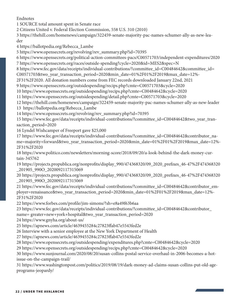<span id="page-21-0"></span>Endnotes

SOURCE total amount spent in Senate race

Citizens United v. Federal Election Commission, 558 U.S. 310 (2010)

 https://thehill.com/homenews/campaign/322459-senate-majority-pac-names-schumer-ally-as-new-leader

https://ballotpedia.org/Rebecca\_Lambe

https://www.opensecrets.org/revolving/rev\_summary.php?id=70395

 https://www.opensecrets.org/political-action-committees-pacs/C00571703/independent-expenditures/2020 https://www.opensecrets.org/races/outside-spending?cycle=2020&id=MES2&spec=N

https://www.fec.gov/data/receipts/individual-contributions/?committee\_id=C00484642&committee\_id=

C00571703&two\_year\_transaction\_period=2020&min\_date=01%2F01%2F2019&max\_date=12%-

2F31%2F2020. All donation numbers come from FEC records downloaded January 22nd, 2021

https://www.opensecrets.org/outsidespending/recips.php?cmte=C00571703&cycle=2020

https://www.opensecrets.org/outsidespending/recips.php?cmte=C00484642&cycle=2020

https://www.opensecrets.org/outsidespending/detail.php?cmte=C00571703&cycle=2020

https://thehill.com/homenews/campaign/322459-senate-majority-pac-names-schumer-ally-as-new-leader

https://ballotpedia.org/Rebecca\_Lambe

https://www.opensecrets.org/revolving/rev\_summary.php?id=70395

 https://www.fec.gov/data/receipts/individual-contributions/?committee\_id=C00484642&two\_year\_transaction\_period=2020

Lyndel Wishcamper of Freeport gave \$25,000

 https://www.fec.gov/data/receipts/individual-contributions/?committee\_id=C00484642&contributor\_name=majority+forward&two\_year\_transaction\_period=2020&min\_date=01%2F01%2F2019&max\_date=12%- 2F31%2F2020

 https://www.politico.com/newsletters/morning-score/2018/09/20/a-look-behind-the-dark-money-curtain-345762

 https://projects.propublica.org/nonprofits/display\_990/474368320/09\_2020\_prefixes\_46-47%2F474368320 \_201905\_990O\_2020092117315069

 https://projects.propublica.org/nonprofits/display\_990/474368320/09\_2020\_prefixes\_46-47%2F474368320 \_201905\_990O\_2020092117315069

 https://www.fec.gov/data/receipts/individual-contributions/?committee\_id=C00484642&contributor\_employer=renaissance&two\_year\_transaction\_period=2020&min\_date=01%2F01%2F2019&max\_date=12%- 2F31%2F2020

https://www.forbes.com/profile/jim-simons/?sh=e8a49f63b6aa

 https://www.fec.gov/data/receipts/individual-contributions/?committee\_id=C00484642&contributor\_ name= greater+new+york+hospital&two\_year\_transaction\_period=2020

https://www.gnyha.org/about-us/

https://apnews.com/article/4639455284c27823ffab47e5543fed2e

Interview with a senior employee at the New York Department of Health

https://apnews.com/article/4639455284c27823ffab47e5543fed2e

https://www.opensecrets.org/outsidespending/expenditures.php?cmte=C00484642&cycle=2020

https://www.opensecrets.org/outsidespending/recips.php?cmte=C00484642&cycle=2020

 https://www.sunjournal.com/2020/08/20/susan-collins-postal-service-overhaul-in-2006-becomes-a-hotissue-on-the-campaign-trail/

 https://www.washingtonpost.com/politics/2019/08/19/dark-money-ad-claims-susan-collins-put-old-ageprograms-jeopardy/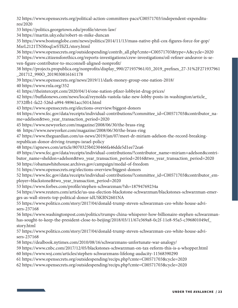<span id="page-22-0"></span> https://www.opensecrets.org/political-action-committees-pacs/C00571703/independent-expenditures/2020

https://politics.georgetown.edu/profile/steven-law/

https://martin.uky.edu/robert-m-mike-duncan

 https://www.bostonglobe.com/news/politics/2014/11/13/mass-native-phil-cox-figures-force-for-gop/ MsrL2121TNS0oqLwSTfiZL/story.html

 https://www.opensecrets.org/outsidespending/contrib\_all.php?cmte=C00571703&type=A&cycle=2020 https://www.citizensforethics.org/reports-investigations/crew-investigations/oil-refiner-andeavor-is-seven-figure-contributor-to-mcconnell-aligned-nonprofit/

 https://projects.propublica.org/nonprofits/display\_990/271937961/03\_2019\_prefixes\_27-31%2F271937961 \_201712\_990O\_2019030816161178

https://www.opensecrets.org/news/2019/11/dark-money-group-one-nation-2018/

https://www.rnla.org/352

https://theintercept.com/2020/04/14/one-nation-pfizer-lobbyist-drug-prices/

https://buffalonews.com/news/local/reynolds-vastola-take-new-lobby-posts-in-washington/article\_

3732ffb1-fa22-526d-a994-98961acc5014.html

https://www.opensecrets.org/elections-overview/biggest-donors

 https://www.fec.gov/data/receipts/individual-contributions/?committee\_id=C00571703&contributor\_name=adelson&two\_year\_transaction\_period=2020

https://www.newyorker.com/magazine/2008/06/30/the-brass-ring

https://www.newyorker.com/magazine/2008/06/30/the-brass-ring

https://www.theguardian.com/us-news/2019/jan/07/meet-dr-miriam-adelson-the-record-breaking-

republican-donor-driving-trumps-israel-policy

https://apnews.com/article/8070325b0230466fa46dde5d1ee72ea6

https://www.fec.gov/data/receipts/individual-contributions/?contributor\_name=miriam+adelson&contri-

butor\_name=sheldon+adelson&two\_year\_transaction\_period=2016&two\_year\_transaction\_period=2020

https://obamawhitehouse.archives.gov/campaign/medal-of-freedom

https://www.opensecrets.org/elections-overview/biggest-donors

 https://www.fec.gov/data/receipts/individual-contributions/?committee\_id=C00571703&contributor\_employer=blackstone&two\_year\_transaction\_period=2020

https://www.forbes.com/profile/stephen-schwarzman/?sh=18794769234a

 https://www.reuters.com/article/us-usa-election-blackstone-schwarzman/blackstones-schwarzman-emerges-as-wall-streets-top-political-donor-idUSKBN2601NA

 https://www.politico.com/story/2017/04/donald-trump-steven-schwarzman-ceo-white-house-advisers-237168

 https://www.washingtonpost.com/politics/trumps-china-whisperer-how-billionaire-stephen-schwarzmanhas-sought-to-keep-the-president-close-to-beijing/2018/03/11/67e369a8-0c2f-11e8-95a5-c396801049ef\_ story.html

 https://www.politico.com/story/2017/04/donald-trump-steven-schwarzman-ceo-white-house-advisers-237168

https://dealbook.nytimes.com/2010/08/16/schwarzmans-unfortunate-war-analogy/

https://www.cnbc.com/2017/12/05/blackstones-schwarzman-on-tax-reform-this-is-a-whopper.html

https://www.wsj.com/articles/stephen-schwarzmans-lifelong-audacity-11568390290

https://www.opensecrets.org/outsidespending/recips.php?cmte=C00571703&cycle=2020

https://www.opensecrets.org/outsidespending/recips.php?cmte=C00571703&cycle=2020